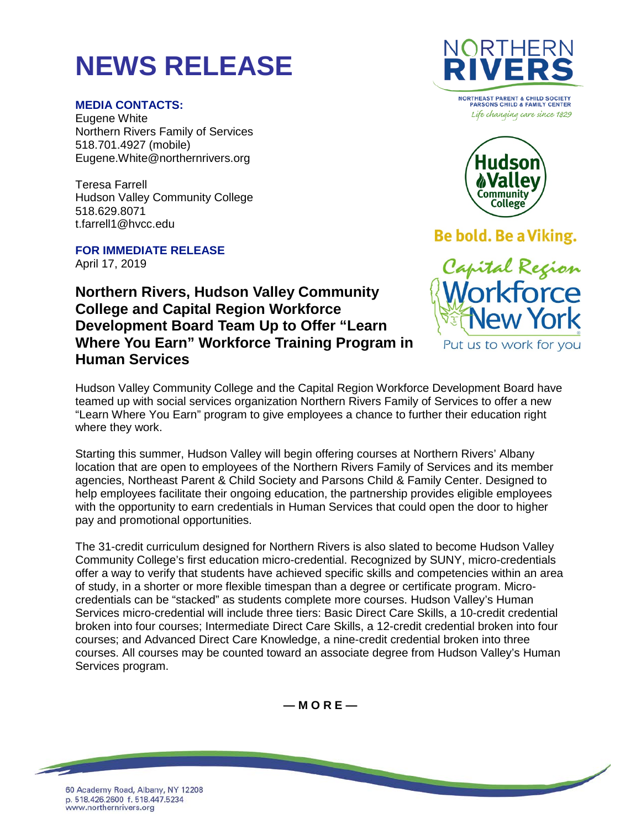# **NEWS RELEASE**

### **MEDIA CONTACTS:**

Eugene White Northern Rivers Family of Services 518.701.4927 (mobile) Eugene.White@northernrivers.org

Teresa Farrell Hudson Valley Community College 518.629.8071 t.farrell1@hvcc.edu

**FOR IMMEDIATE RELEASE** April 17, 2019

## **Northern Rivers, Hudson Valley Community College and Capital Region Workforce Development Board Team Up to Offer "Learn Where You Earn" Workforce Training Program in Human Services**



Life changing care since 1829



Be bold. Be a Viking.



Hudson Valley Community College and the Capital Region Workforce Development Board have teamed up with social services organization Northern Rivers Family of Services to offer a new "Learn Where You Earn" program to give employees a chance to further their education right where they work.

Starting this summer, Hudson Valley will begin offering courses at Northern Rivers' Albany location that are open to employees of the Northern Rivers Family of Services and its member agencies, Northeast Parent & Child Society and Parsons Child & Family Center. Designed to help employees facilitate their ongoing education, the partnership provides eligible employees with the opportunity to earn credentials in Human Services that could open the door to higher pay and promotional opportunities.

The 31-credit curriculum designed for Northern Rivers is also slated to become Hudson Valley Community College's first education micro-credential. Recognized by SUNY, micro-credentials offer a way to verify that students have achieved specific skills and competencies within an area of study, in a shorter or more flexible timespan than a degree or certificate program. Microcredentials can be "stacked" as students complete more courses. Hudson Valley's Human Services micro-credential will include three tiers: Basic Direct Care Skills, a 10-credit credential broken into four courses; Intermediate Direct Care Skills, a 12-credit credential broken into four courses; and Advanced Direct Care Knowledge, a nine-credit credential broken into three courses. All courses may be counted toward an associate degree from Hudson Valley's Human Services program.

**— M O R E —**

60 Academy Road, Albany, NY 12208 p. 518.426.2600 f. 518.447.5234 www.northernrivers.org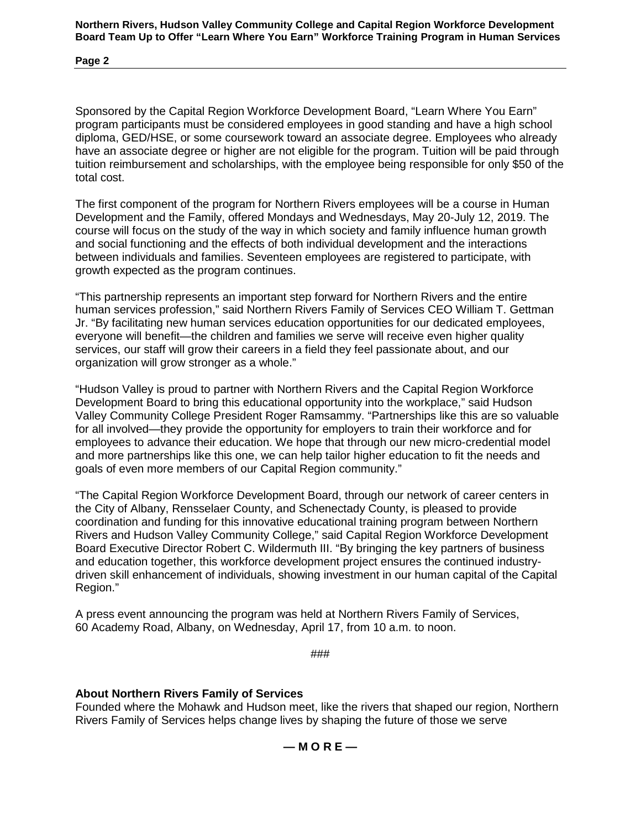**Northern Rivers, Hudson Valley Community College and Capital Region Workforce Development Board Team Up to Offer "Learn Where You Earn" Workforce Training Program in Human Services**

**Page 2**

Sponsored by the Capital Region Workforce Development Board, "Learn Where You Earn" program participants must be considered employees in good standing and have a high school diploma, GED/HSE, or some coursework toward an associate degree. Employees who already have an associate degree or higher are not eligible for the program. Tuition will be paid through tuition reimbursement and scholarships, with the employee being responsible for only \$50 of the total cost.

The first component of the program for Northern Rivers employees will be a course in Human Development and the Family, offered Mondays and Wednesdays, May 20-July 12, 2019. The course will focus on the study of the way in which society and family influence human growth and social functioning and the effects of both individual development and the interactions between individuals and families. Seventeen employees are registered to participate, with growth expected as the program continues.

"This partnership represents an important step forward for Northern Rivers and the entire human services profession," said Northern Rivers Family of Services CEO William T. Gettman Jr. "By facilitating new human services education opportunities for our dedicated employees, everyone will benefit—the children and families we serve will receive even higher quality services, our staff will grow their careers in a field they feel passionate about, and our organization will grow stronger as a whole."

"Hudson Valley is proud to partner with Northern Rivers and the Capital Region Workforce Development Board to bring this educational opportunity into the workplace," said Hudson Valley Community College President Roger Ramsammy. "Partnerships like this are so valuable for all involved—they provide the opportunity for employers to train their workforce and for employees to advance their education. We hope that through our new micro-credential model and more partnerships like this one, we can help tailor higher education to fit the needs and goals of even more members of our Capital Region community."

"The Capital Region Workforce Development Board, through our network of career centers in the City of Albany, Rensselaer County, and Schenectady County, is pleased to provide coordination and funding for this innovative educational training program between Northern Rivers and Hudson Valley Community College," said Capital Region Workforce Development Board Executive Director Robert C. Wildermuth III. "By bringing the key partners of business and education together, this workforce development project ensures the continued industrydriven skill enhancement of individuals, showing investment in our human capital of the Capital Region."

A press event announcing the program was held at Northern Rivers Family of Services, 60 Academy Road, Albany, on Wednesday, April 17, from 10 a.m. to noon.

###

#### **About Northern Rivers Family of Services**

Founded where the Mohawk and Hudson meet, like the rivers that shaped our region, Northern Rivers Family of Services helps change lives by shaping the future of those we serve

**— M O R E —**